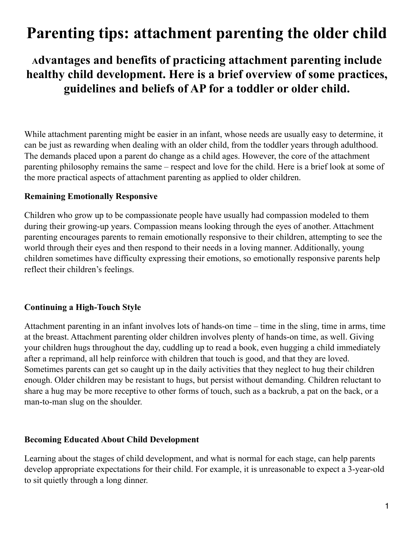# **Parenting tips: attachment parenting the older child**

**Advantages and benefits of practicing attachment parenting include healthy child development. Here is a brief overview of some practices, guidelines and beliefs of AP for a toddler or older child.**

While [attachment parenting](http://www.essortment.com/family/parentingtipsa_sgyg.htm#) might be easier in an [infant,](http://www.essortment.com/family/parentingtipsa_sgyg.htm#) whose needs are usually easy to determine, it can be just as rewarding when dealing with an older child, from the toddler years through adulthood. The demands placed upon a parent do change as a child ages. However, the core of the attachment parenting philosophy remains the same – respect and love for the child. Here is a brief look at some of the more practical aspects of attachment parenting as applied to older children.

#### **Remaining Emotionally Responsive**

Children who grow up to be compassionate people have usually had compassion modeled to them during their growing-up years. Compassion means looking through the eyes of another. Attachment parenting encourages parents to remain emotionally responsive to their children, attempting to see the world through their eyes and then respond to their needs in a loving manner. Additionally, young children sometimes have difficulty expressing their emotions, so emotionally responsive parents help reflect their children's feelings.

### **Continuing a High-Touch Style**

Attachment parenting in an infant involves lots of hands-on time – time in the sling, time in arms, time at the breast. Attachment parenting [older children](http://www.essortment.com/family/parentingtipsa_sgyg.htm#) involves plenty of hands-on time, as well. Giving your children hugs throughout the day, cuddling up to read a book, even hugging a child immediately after a reprimand, all help reinforce with children that touch is good, and that they are loved. Sometimes parents can get so caught up in the daily activities that they neglect to hug their children enough. Older children may be resistant to hugs, but persist without demanding. Children reluctant to share a hug may be more receptive to other forms of touch, such as a backrub, a pat on the back, or a man-to-man slug on the shoulder.

#### **Becoming Educated About Child Development**

Learning about the stages of child development, and what is normal for each stage, can help parents develop appropriate expectations for their child. For example, it is unreasonable to expect a 3-year-old to sit quietly through a long dinner.